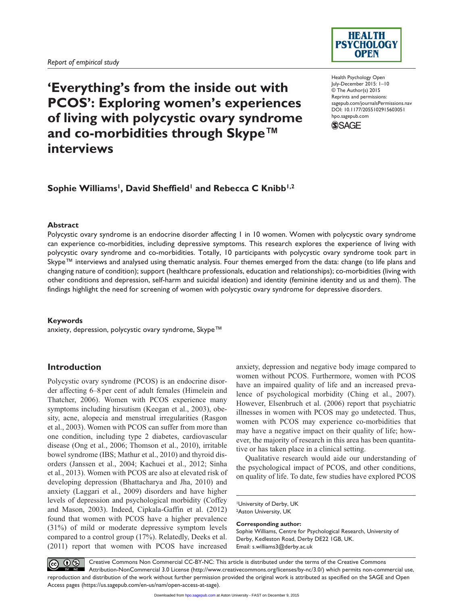

**'Everything's from the inside out with PCOS': Exploring women's experiences of living with polycystic ovary syndrome and co-morbidities through Skype™ interviews**

Health Psychology Open July-December 2015: 1–10 © The Author(s) 2015 Reprints and permissions: sagepub.com/journalsPermissions.nav DOI: 10.1177/2055102915603051 hpo.sagepub.com



# Sophie Williams<sup>1</sup>, David Sheffield<sup>1</sup> and Rebecca C Knibb<sup>1,2</sup>

### **Abstract**

Polycystic ovary syndrome is an endocrine disorder affecting 1 in 10 women. Women with polycystic ovary syndrome can experience co-morbidities, including depressive symptoms. This research explores the experience of living with polycystic ovary syndrome and co-morbidities. Totally, 10 participants with polycystic ovary syndrome took part in Skype™ interviews and analysed using thematic analysis. Four themes emerged from the data: change (to life plans and changing nature of condition); support (healthcare professionals, education and relationships); co-morbidities (living with other conditions and depression, self-harm and suicidal ideation) and identity (feminine identity and us and them). The findings highlight the need for screening of women with polycystic ovary syndrome for depressive disorders.

#### **Keywords**

anxiety, depression, polycystic ovary syndrome, Skype™

## **Introduction**

Polycystic ovary syndrome (PCOS) is an endocrine disorder affecting 6–8 per cent of adult females (Himelein and Thatcher, 2006). Women with PCOS experience many symptoms including hirsutism (Keegan et al., 2003), obesity, acne, alopecia and menstrual irregularities (Rasgon et al., 2003). Women with PCOS can suffer from more than one condition, including type 2 diabetes, cardiovascular disease (Ong et al., 2006; Thomson et al., 2010), irritable bowel syndrome (IBS; Mathur et al., 2010) and thyroid disorders (Janssen et al., 2004; Kachuei et al., 2012; Sinha et al., 2013). Women with PCOS are also at elevated risk of developing depression (Bhattacharya and Jha, 2010) and anxiety (Laggari et al., 2009) disorders and have higher levels of depression and psychological morbidity (Coffey and Mason, 2003). Indeed, Cipkala-Gaffin et al. (2012) found that women with PCOS have a higher prevalence (31%) of mild or moderate depressive symptom levels compared to a control group (17%). Relatedly, Deeks et al. (2011) report that women with PCOS have increased

anxiety, depression and negative body image compared to women without PCOS. Furthermore, women with PCOS have an impaired quality of life and an increased prevalence of psychological morbidity (Ching et al., 2007). However, Elsenbruch et al. (2006) report that psychiatric illnesses in women with PCOS may go undetected. Thus, women with PCOS may experience co-morbidities that may have a negative impact on their quality of life; however, the majority of research in this area has been quantitative or has taken place in a clinical setting.

Qualitative research would aide our understanding of the psychological impact of PCOS, and other conditions, on quality of life. To date, few studies have explored PCOS

**Corresponding author:**

Sophie Williams, Centre for Psychological Research, University of Derby, Kedleston Road, Derby DE22 1GB, UK. Email: [s.williams3@derby.ac.uk](mailto:s.williams3@derby.ac.uk)

Creative Commons Non Commercial CC-BY-NC: This article is distributed under the terms of the Creative Commons  $\circledcirc$  $(cc)$ Attribution-NonCommercial 3.0 License (http://www.creativecommons.org/licenses/by-nc/3.0/) which permits non-commercial use, reproduction and distribution of the work without further permission provided the original work is attributed as specified on the SAGE and Open Access pages [\(https://us.sagepub.com/en-us/nam/open-access-at-sage\)](https://us.sagepub.com/en-us/nam/open-access-at-sage).

<sup>1</sup>University of Derby, UK 2Aston University, UK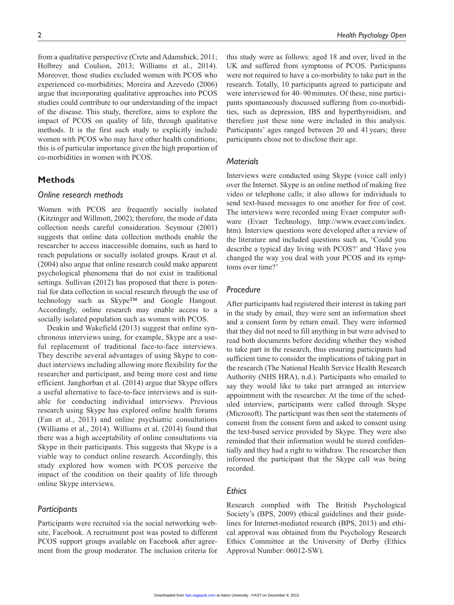from a qualitative perspective (Crete and Adamshick, 2011; Holbrey and Coulson, 2013; Williams et al., 2014). Moreover, those studies excluded women with PCOS who experienced co-morbidities; Moreira and Azevedo (2006) argue that incorporating qualitative approaches into PCOS studies could contribute to our understanding of the impact of the disease. This study, therefore, aims to explore the impact of PCOS on quality of life, through qualitative methods. It is the first such study to explicitly include women with PCOS who may have other health conditions; this is of particular importance given the high proportion of co-morbidities in women with PCOS.

# **Methods**

#### *Online research methods*

Women with PCOS are frequently socially isolated (Kitzinger and Willmott, 2002); therefore, the mode of data collection needs careful consideration. Seymour (2001) suggests that online data collection methods enable the researcher to access inaccessible domains, such as hard to reach populations or socially isolated groups. Kraut et al. (2004) also argue that online research could make apparent psychological phenomena that do not exist in traditional settings. Sullivan (2012) has proposed that there is potential for data collection in social research through the use of technology such as Skype™ and Google Hangout. Accordingly, online research may enable access to a socially isolated population such as women with PCOS.

Deakin and Wakefield (2013) suggest that online synchronous interviews using, for example, Skype are a useful replacement of traditional face-to-face interviews. They describe several advantages of using Skype to conduct interviews including allowing more flexibility for the researcher and participant, and being more cost and time efficient. Janghorban et al. (2014) argue that Skype offers a useful alternative to face-to-face interviews and is suitable for conducting individual interviews. Previous research using Skype has explored online health forums (Fan et al., 2013) and online psychiatric consultations (Williams et al., 2014). Williams et al. (2014) found that there was a high acceptability of online consultations via Skype in their participants. This suggests that Skype is a viable way to conduct online research. Accordingly, this study explored how women with PCOS perceive the impact of the condition on their quality of life through online Skype interviews.

#### *Participants*

Participants were recruited via the social networking website, Facebook. A recruitment post was posted to different PCOS support groups available on Facebook after agreement from the group moderator. The inclusion criteria for this study were as follows: aged 18 and over, lived in the UK and suffered from symptoms of PCOS. Participants were not required to have a co-morbidity to take part in the research. Totally, 10 participants agreed to participate and were interviewed for 40–90minutes. Of these, nine participants spontaneously discussed suffering from co-morbidities, such as depression, IBS and hyperthyroidism, and therefore just these nine were included in this analysis. Participants' ages ranged between 20 and 41 years; three participants chose not to disclose their age.

#### *Materials*

Interviews were conducted using Skype (voice call only) over the Internet. Skype is an online method of making free video or telephone calls; it also allows for individuals to send text-based messages to one another for free of cost. The interviews were recorded using Evaer computer software (Evaer Technology, [http://www.evaer.com/index.](http://www.evaer.com/index.htm) [htm\)](http://www.evaer.com/index.htm). Interview questions were developed after a review of the literature and included questions such as, 'Could you describe a typical day living with PCOS?' and 'Have you changed the way you deal with your PCOS and its symptoms over time?'

### *Procedure*

After participants had registered their interest in taking part in the study by email, they were sent an information sheet and a consent form by return email. They were informed that they did not need to fill anything in but were advised to read both documents before deciding whether they wished to take part in the research, thus ensuring participants had sufficient time to consider the implications of taking part in the research (The National Health Service Health Research Authority (NHS HRA), n.d.). Participants who emailed to say they would like to take part arranged an interview appointment with the researcher. At the time of the scheduled interview, participants were called through Skype (Microsoft). The participant was then sent the statements of consent from the consent form and asked to consent using the text-based service provided by Skype. They were also reminded that their information would be stored confidentially and they had a right to withdraw. The researcher then informed the participant that the Skype call was being recorded.

# *Ethics*

Research complied with The British Psychological Society's (BPS, 2009) ethical guidelines and their guidelines for Internet-mediated research (BPS, 2013) and ethical approval was obtained from the Psychology Research Ethics Committee at the University of Derby (Ethics Approval Number: 06012-SW).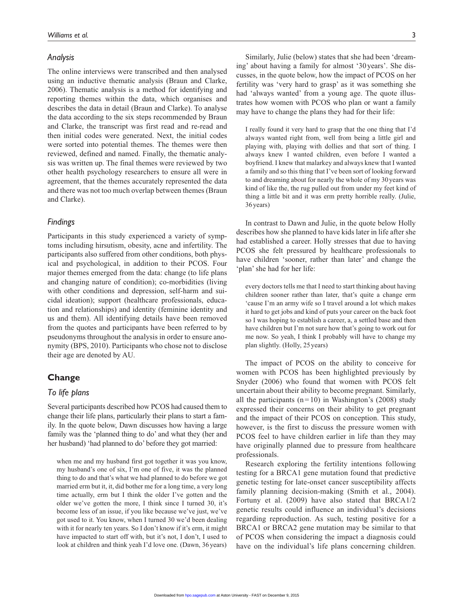### *Analysis*

The online interviews were transcribed and then analysed using an inductive thematic analysis (Braun and Clarke, 2006). Thematic analysis is a method for identifying and reporting themes within the data, which organises and describes the data in detail (Braun and Clarke). To analyse the data according to the six steps recommended by Braun and Clarke, the transcript was first read and re-read and then initial codes were generated. Next, the initial codes were sorted into potential themes. The themes were then reviewed, defined and named. Finally, the thematic analysis was written up. The final themes were reviewed by two other health psychology researchers to ensure all were in agreement, that the themes accurately represented the data and there was not too much overlap between themes (Braun and Clarke).

#### *Findings*

Participants in this study experienced a variety of symptoms including hirsutism, obesity, acne and infertility. The participants also suffered from other conditions, both physical and psychological, in addition to their PCOS. Four major themes emerged from the data: change (to life plans and changing nature of condition); co-morbidities (living with other conditions and depression, self-harm and suicidal ideation); support (healthcare professionals, education and relationships) and identity (feminine identity and us and them). All identifying details have been removed from the quotes and participants have been referred to by pseudonyms throughout the analysis in order to ensure anonymity (BPS, 2010). Participants who chose not to disclose their age are denoted by AU.

# **Change**

### *To life plans*

Several participants described how PCOS had caused them to change their life plans, particularly their plans to start a family. In the quote below, Dawn discusses how having a large family was the 'planned thing to do' and what they (her and her husband) 'had planned to do' before they got married:

when me and my husband first got together it was you know, my husband's one of six, I'm one of five, it was the planned thing to do and that's what we had planned to do before we got married erm but it, it, did bother me for a long time, a very long time actually, erm but I think the older I've gotten and the older we've gotten the more, I think since I turned 30, it's become less of an issue, if you like because we've just, we've got used to it. You know, when I turned 30 we'd been dealing with it for nearly ten years. So I don't know if it's erm, it might have impacted to start off with, but it's not, I don't, I used to look at children and think yeah I'd love one. (Dawn, 36years)

I really found it very hard to grasp that the one thing that I'd always wanted right from, well from being a little girl and playing with, playing with dollies and that sort of thing. I always knew I wanted children, even before I wanted a boyfriend. I knew that malarkey and always knew that I wanted a family and so this thing that I've been sort of looking forward to and dreaming about for nearly the whole of my 30years was kind of like the, the rug pulled out from under my feet kind of thing a little bit and it was erm pretty horrible really. (Julie, 36 years)

In contrast to Dawn and Julie, in the quote below Holly describes how she planned to have kids later in life after she had established a career. Holly stresses that due to having PCOS she felt pressured by healthcare professionals to have children 'sooner, rather than later' and change the 'plan' she had for her life:

every doctors tells me that I need to start thinking about having children sooner rather than later, that's quite a change erm 'cause I'm an army wife so I travel around a lot which makes it hard to get jobs and kind of puts your career on the back foot so I was hoping to establish a career, a, a settled base and then have children but I'm not sure how that's going to work out for me now. So yeah, I think I probably will have to change my plan slightly. (Holly, 25 years)

The impact of PCOS on the ability to conceive for women with PCOS has been highlighted previously by Snyder (2006) who found that women with PCOS felt uncertain about their ability to become pregnant. Similarly, all the participants  $(n=10)$  in Washington's (2008) study expressed their concerns on their ability to get pregnant and the impact of their PCOS on conception. This study, however, is the first to discuss the pressure women with PCOS feel to have children earlier in life than they may have originally planned due to pressure from healthcare professionals.

Research exploring the fertility intentions following testing for a BRCA1 gene mutation found that predictive genetic testing for late-onset cancer susceptibility affects family planning decision-making (Smith et al., 2004). Fortuny et al. (2009) have also stated that BRCA1/2 genetic results could influence an individual's decisions regarding reproduction. As such, testing positive for a BRCA1 or BRCA2 gene mutation may be similar to that of PCOS when considering the impact a diagnosis could have on the individual's life plans concerning children.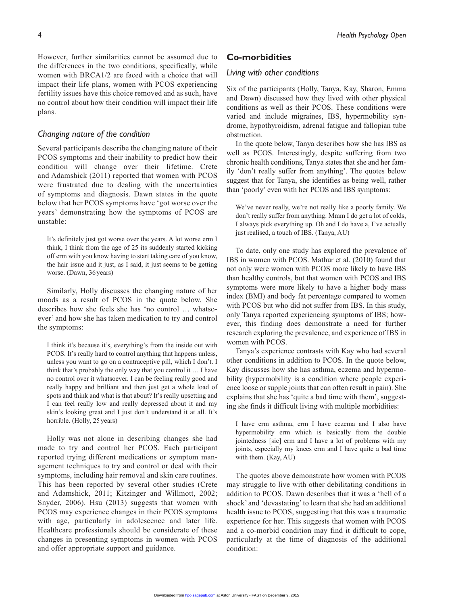However, further similarities cannot be assumed due to the differences in the two conditions, specifically, while women with BRCA1/2 are faced with a choice that will impact their life plans, women with PCOS experiencing fertility issues have this choice removed and as such, have no control about how their condition will impact their life plans.

# *Changing nature of the condition*

Several participants describe the changing nature of their PCOS symptoms and their inability to predict how their condition will change over their lifetime. Crete and Adamshick (2011) reported that women with PCOS were frustrated due to dealing with the uncertainties of symptoms and diagnosis. Dawn states in the quote below that her PCOS symptoms have 'got worse over the years' demonstrating how the symptoms of PCOS are unstable:

It's definitely just got worse over the years. A lot worse erm I think, I think from the age of 25 its suddenly started kicking off erm with you know having to start taking care of you know, the hair issue and it just, as I said, it just seems to be getting worse. (Dawn, 36years)

Similarly, Holly discusses the changing nature of her moods as a result of PCOS in the quote below. She describes how she feels she has 'no control … whatsoever' and how she has taken medication to try and control the symptoms:

I think it's because it's, everything's from the inside out with PCOS. It's really hard to control anything that happens unless, unless you want to go on a contraceptive pill, which I don't. I think that's probably the only way that you control it … I have no control over it whatsoever. I can be feeling really good and really happy and brilliant and then just get a whole load of spots and think and what is that about? It's really upsetting and I can feel really low and really depressed about it and my skin's looking great and I just don't understand it at all. It's horrible. (Holly, 25 years)

Holly was not alone in describing changes she had made to try and control her PCOS. Each participant reported trying different medications or symptom management techniques to try and control or deal with their symptoms, including hair removal and skin care routines. This has been reported by several other studies (Crete and Adamshick, 2011; Kitzinger and Willmott, 2002; Snyder, 2006). Hsu (2013) suggests that women with PCOS may experience changes in their PCOS symptoms with age, particularly in adolescence and later life. Healthcare professionals should be considerate of these changes in presenting symptoms in women with PCOS and offer appropriate support and guidance.

# **Co-morbidities**

#### *Living with other conditions*

Six of the participants (Holly, Tanya, Kay, Sharon, Emma and Dawn) discussed how they lived with other physical conditions as well as their PCOS. These conditions were varied and include migraines, IBS, hypermobility syndrome, hypothyroidism, adrenal fatigue and fallopian tube obstruction.

In the quote below, Tanya describes how she has IBS as well as PCOS. Interestingly, despite suffering from two chronic health conditions, Tanya states that she and her family 'don't really suffer from anything'. The quotes below suggest that for Tanya, she identifies as being well, rather than 'poorly' even with her PCOS and IBS symptoms:

We've never really, we're not really like a poorly family. We don't really suffer from anything. Mmm I do get a lot of colds, I always pick everything up. Oh and I do have a, I've actually just realised, a touch of IBS. (Tanya, AU)

To date, only one study has explored the prevalence of IBS in women with PCOS. Mathur et al. (2010) found that not only were women with PCOS more likely to have IBS than healthy controls, but that women with PCOS and IBS symptoms were more likely to have a higher body mass index (BMI) and body fat percentage compared to women with PCOS but who did not suffer from IBS. In this study, only Tanya reported experiencing symptoms of IBS; however, this finding does demonstrate a need for further research exploring the prevalence, and experience of IBS in women with PCOS.

Tanya's experience contrasts with Kay who had several other conditions in addition to PCOS. In the quote below, Kay discusses how she has asthma, eczema and hypermobility (hypermobility is a condition where people experience loose or supple joints that can often result in pain). She explains that she has 'quite a bad time with them', suggesting she finds it difficult living with multiple morbidities:

I have erm asthma, erm I have eczema and I also have hypermobility erm which is basically from the double jointedness [sic] erm and I have a lot of problems with my joints, especially my knees erm and I have quite a bad time with them. (Kay, AU)

The quotes above demonstrate how women with PCOS may struggle to live with other debilitating conditions in addition to PCOS. Dawn describes that it was a 'hell of a shock' and 'devastating' to learn that she had an additional health issue to PCOS, suggesting that this was a traumatic experience for her. This suggests that women with PCOS and a co-morbid condition may find it difficult to cope, particularly at the time of diagnosis of the additional condition: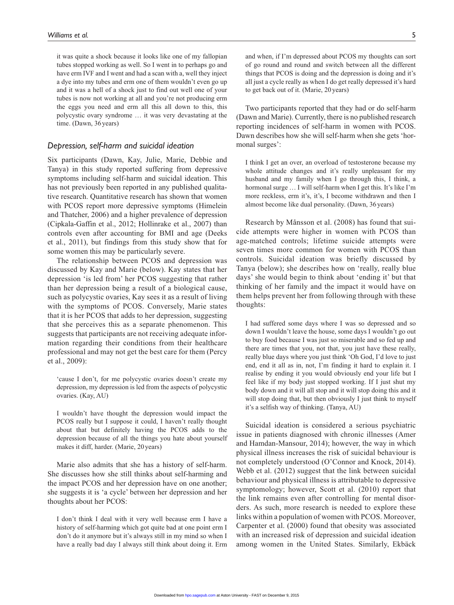it was quite a shock because it looks like one of my fallopian tubes stopped working as well. So I went in to perhaps go and have erm IVF and I went and had a scan with a, well they inject a dye into my tubes and erm one of them wouldn't even go up and it was a hell of a shock just to find out well one of your tubes is now not working at all and you're not producing erm the eggs you need and erm all this all down to this, this polycystic ovary syndrome … it was very devastating at the time. (Dawn, 36years)

### *Depression, self-harm and suicidal ideation*

Six participants (Dawn, Kay, Julie, Marie, Debbie and Tanya) in this study reported suffering from depressive symptoms including self-harm and suicidal ideation. This has not previously been reported in any published qualitative research. Quantitative research has shown that women with PCOS report more depressive symptoms (Himelein and Thatcher, 2006) and a higher prevalence of depression (Cipkala-Gaffin et al., 2012; Hollinrake et al., 2007) than controls even after accounting for BMI and age (Deeks et al., 2011), but findings from this study show that for some women this may be particularly severe.

The relationship between PCOS and depression was discussed by Kay and Marie (below). Kay states that her depression 'is led from' her PCOS suggesting that rather than her depression being a result of a biological cause, such as polycystic ovaries, Kay sees it as a result of living with the symptoms of PCOS. Conversely, Marie states that it is her PCOS that adds to her depression, suggesting that she perceives this as a separate phenomenon. This suggests that participants are not receiving adequate information regarding their conditions from their healthcare professional and may not get the best care for them (Percy et al., 2009):

'cause I don't, for me polycystic ovaries doesn't create my depression, my depression is led from the aspects of polycystic ovaries. (Kay, AU)

I wouldn't have thought the depression would impact the PCOS really but I suppose it could, I haven't really thought about that but definitely having the PCOS adds to the depression because of all the things you hate about yourself makes it diff, harder. (Marie, 20years)

Marie also admits that she has a history of self-harm. She discusses how she still thinks about self-harming and the impact PCOS and her depression have on one another; she suggests it is 'a cycle' between her depression and her thoughts about her PCOS:

I don't think I deal with it very well because erm I have a history of self-harming which got quite bad at one point erm I don't do it anymore but it's always still in my mind so when I have a really bad day I always still think about doing it. Erm and when, if I'm depressed about PCOS my thoughts can sort of go round and round and switch between all the different things that PCOS is doing and the depression is doing and it's all just a cycle really as when I do get really depressed it's hard to get back out of it. (Marie, 20 years)

Two participants reported that they had or do self-harm (Dawn and Marie). Currently, there is no published research reporting incidences of self-harm in women with PCOS. Dawn describes how she will self-harm when she gets 'hormonal surges':

I think I get an over, an overload of testosterone because my whole attitude changes and it's really unpleasant for my husband and my family when I go through this, I think, a hormonal surge … I will self-harm when I get this. It's like I'm more reckless, erm it's, it's, I become withdrawn and then I almost become like dual personality. (Dawn, 36 years)

Research by Månsson et al. (2008) has found that suicide attempts were higher in women with PCOS than age-matched controls; lifetime suicide attempts were seven times more common for women with PCOS than controls. Suicidal ideation was briefly discussed by Tanya (below); she describes how on 'really, really blue days' she would begin to think about 'ending it' but that thinking of her family and the impact it would have on them helps prevent her from following through with these thoughts:

I had suffered some days where I was so depressed and so down I wouldn't leave the house, some days I wouldn't go out to buy food because I was just so miserable and so fed up and there are times that you, not that, you just have these really, really blue days where you just think 'Oh God, I'd love to just end, end it all as in, not, I'm finding it hard to explain it. I realise by ending it you would obviously end your life but I feel like if my body just stopped working. If I just shut my body down and it will all stop and it will stop doing this and it will stop doing that, but then obviously I just think to myself it's a selfish way of thinking. (Tanya, AU)

Suicidal ideation is considered a serious psychiatric issue in patients diagnosed with chronic illnesses (Amer and Hamdan-Mansour, 2014); however, the way in which physical illness increases the risk of suicidal behaviour is not completely understood (O'Connor and Knock, 2014). Webb et al. (2012) suggest that the link between suicidal behaviour and physical illness is attributable to depressive symptomology; however, Scott et al. (2010) report that the link remains even after controlling for mental disorders. As such, more research is needed to explore these links within a population of women with PCOS. Moreover, Carpenter et al. (2000) found that obesity was associated with an increased risk of depression and suicidal ideation among women in the United States. Similarly, Ekbäck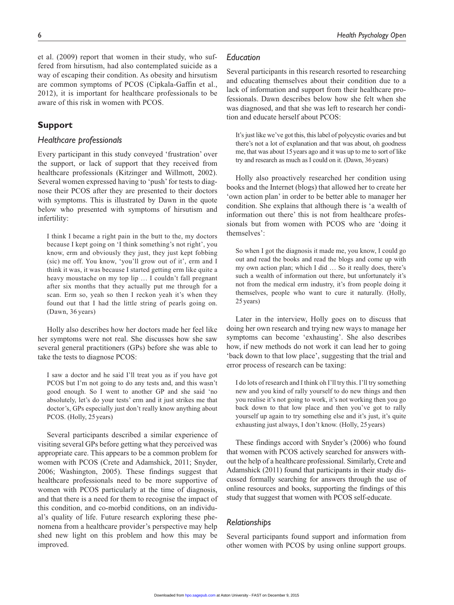et al. (2009) report that women in their study, who suffered from hirsutism, had also contemplated suicide as a way of escaping their condition. As obesity and hirsutism are common symptoms of PCOS (Cipkala-Gaffin et al., 2012), it is important for healthcare professionals to be aware of this risk in women with PCOS.

# **Support**

### *Healthcare professionals*

Every participant in this study conveyed 'frustration' over the support, or lack of support that they received from healthcare professionals (Kitzinger and Willmott, 2002). Several women expressed having to 'push' for tests to diagnose their PCOS after they are presented to their doctors with symptoms. This is illustrated by Dawn in the quote below who presented with symptoms of hirsutism and infertility:

I think I became a right pain in the butt to the, my doctors because I kept going on 'I think something's not right', you know, erm and obviously they just, they just kept fobbing (sic) me off. You know, 'you'll grow out of it', erm and I think it was, it was because I started getting erm like quite a heavy moustache on my top lip … I couldn't fall pregnant after six months that they actually put me through for a scan. Erm so, yeah so then I reckon yeah it's when they found out that I had the little string of pearls going on. (Dawn, 36 years)

Holly also describes how her doctors made her feel like her symptoms were not real. She discusses how she saw several general practitioners (GPs) before she was able to take the tests to diagnose PCOS:

I saw a doctor and he said I'll treat you as if you have got PCOS but I'm not going to do any tests and, and this wasn't good enough. So I went to another GP and she said 'no absolutely, let's do your tests' erm and it just strikes me that doctor's, GPs especially just don't really know anything about PCOS. (Holly, 25 years)

Several participants described a similar experience of visiting several GPs before getting what they perceived was appropriate care. This appears to be a common problem for women with PCOS (Crete and Adamshick, 2011; Snyder, 2006; Washington, 2005). These findings suggest that healthcare professionals need to be more supportive of women with PCOS particularly at the time of diagnosis, and that there is a need for them to recognise the impact of this condition, and co-morbid conditions, on an individual's quality of life. Future research exploring these phenomena from a healthcare provider's perspective may help shed new light on this problem and how this may be improved.

### *Education*

Several participants in this research resorted to researching and educating themselves about their condition due to a lack of information and support from their healthcare professionals. Dawn describes below how she felt when she was diagnosed, and that she was left to research her condition and educate herself about PCOS:

It's just like we've got this, this label of polycystic ovaries and but there's not a lot of explanation and that was about, oh goodness me, that was about 15years ago and it was up to me to sort of like try and research as much as I could on it. (Dawn, 36years)

Holly also proactively researched her condition using books and the Internet (blogs) that allowed her to create her 'own action plan' in order to be better able to manager her condition. She explains that although there is 'a wealth of information out there' this is not from healthcare professionals but from women with PCOS who are 'doing it themselves':

So when I got the diagnosis it made me, you know, I could go out and read the books and read the blogs and come up with my own action plan; which I did … So it really does, there's such a wealth of information out there, but unfortunately it's not from the medical erm industry, it's from people doing it themselves, people who want to cure it naturally. (Holly, 25years)

Later in the interview, Holly goes on to discuss that doing her own research and trying new ways to manage her symptoms can become 'exhausting'. She also describes how, if new methods do not work it can lead her to going 'back down to that low place', suggesting that the trial and error process of research can be taxing:

I do lots of research and I think oh I'll try this. I'll try something new and you kind of rally yourself to do new things and then you realise it's not going to work, it's not working then you go back down to that low place and then you've got to rally yourself up again to try something else and it's just, it's quite exhausting just always, I don't know. (Holly, 25 years)

These findings accord with Snyder's (2006) who found that women with PCOS actively searched for answers without the help of a healthcare professional. Similarly, Crete and Adamshick (2011) found that participants in their study discussed formally searching for answers through the use of online resources and books, supporting the findings of this study that suggest that women with PCOS self-educate.

#### *Relationships*

Several participants found support and information from other women with PCOS by using online support groups.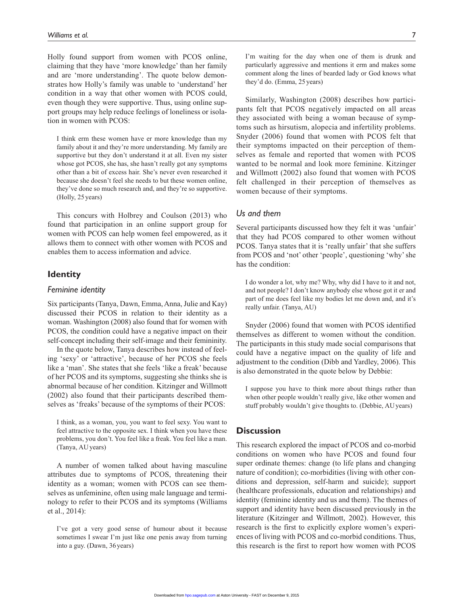Holly found support from women with PCOS online, claiming that they have 'more knowledge' than her family and are 'more understanding'. The quote below demonstrates how Holly's family was unable to 'understand' her condition in a way that other women with PCOS could, even though they were supportive. Thus, using online support groups may help reduce feelings of loneliness or isolation in women with PCOS:

I think erm these women have er more knowledge than my family about it and they're more understanding. My family are supportive but they don't understand it at all. Even my sister whose got PCOS, she has, she hasn't really got any symptoms other than a bit of excess hair. She's never even researched it because she doesn't feel she needs to but these women online, they've done so much research and, and they're so supportive. (Holly, 25 years)

This concurs with Holbrey and Coulson (2013) who found that participation in an online support group for women with PCOS can help women feel empowered, as it allows them to connect with other women with PCOS and enables them to access information and advice.

# **Identity**

#### *Feminine identity*

Six participants (Tanya, Dawn, Emma, Anna, Julie and Kay) discussed their PCOS in relation to their identity as a woman. Washington (2008) also found that for women with PCOS, the condition could have a negative impact on their self-concept including their self-image and their femininity.

In the quote below, Tanya describes how instead of feeling 'sexy' or 'attractive', because of her PCOS she feels like a 'man'. She states that she feels 'like a freak' because of her PCOS and its symptoms, suggesting she thinks she is abnormal because of her condition. Kitzinger and Willmott (2002) also found that their participants described themselves as 'freaks' because of the symptoms of their PCOS:

I think, as a woman, you, you want to feel sexy. You want to feel attractive to the opposite sex. I think when you have these problems, you don't. You feel like a freak. You feel like a man. (Tanya, AUyears)

A number of women talked about having masculine attributes due to symptoms of PCOS, threatening their identity as a woman; women with PCOS can see themselves as unfeminine, often using male language and terminology to refer to their PCOS and its symptoms (Williams et al., 2014):

I've got a very good sense of humour about it because sometimes I swear I'm just like one penis away from turning into a guy. (Dawn, 36years)

I'm waiting for the day when one of them is drunk and particularly aggressive and mentions it erm and makes some comment along the lines of bearded lady or God knows what they'd do. (Emma, 25years)

Similarly, Washington (2008) describes how participants felt that PCOS negatively impacted on all areas they associated with being a woman because of symptoms such as hirsutism, alopecia and infertility problems. Snyder (2006) found that women with PCOS felt that their symptoms impacted on their perception of themselves as female and reported that women with PCOS wanted to be normal and look more feminine. Kitzinger and Willmott (2002) also found that women with PCOS felt challenged in their perception of themselves as women because of their symptoms.

#### *Us and them*

Several participants discussed how they felt it was 'unfair' that they had PCOS compared to other women without PCOS. Tanya states that it is 'really unfair' that she suffers from PCOS and 'not' other 'people', questioning 'why' she has the condition:

I do wonder a lot, why me? Why, why did I have to it and not, and not people? I don't know anybody else whose got it er and part of me does feel like my bodies let me down and, and it's really unfair. (Tanya, AU)

Snyder (2006) found that women with PCOS identified themselves as different to women without the condition. The participants in this study made social comparisons that could have a negative impact on the quality of life and adjustment to the condition (Dibb and Yardley, 2006). This is also demonstrated in the quote below by Debbie:

I suppose you have to think more about things rather than when other people wouldn't really give, like other women and stuff probably wouldn't give thoughts to. (Debbie, AUyears)

#### **Discussion**

This research explored the impact of PCOS and co-morbid conditions on women who have PCOS and found four super ordinate themes: change (to life plans and changing nature of condition); co-morbidities (living with other conditions and depression, self-harm and suicide); support (healthcare professionals, education and relationships) and identity (feminine identity and us and them). The themes of support and identity have been discussed previously in the literature (Kitzinger and Willmott, 2002). However, this research is the first to explicitly explore women's experiences of living with PCOS and co-morbid conditions. Thus, this research is the first to report how women with PCOS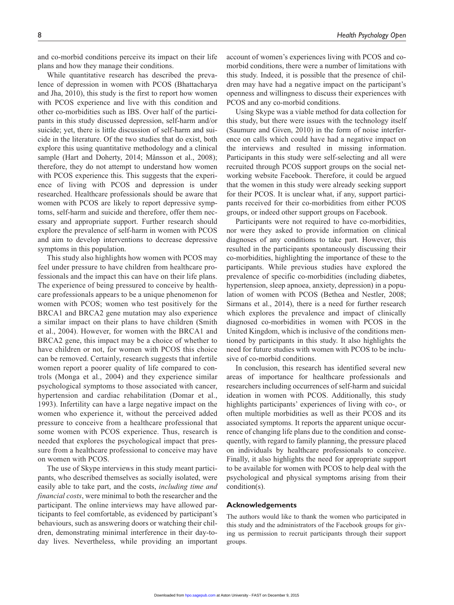and co-morbid conditions perceive its impact on their life plans and how they manage their conditions.

While quantitative research has described the prevalence of depression in women with PCOS (Bhattacharya and Jha, 2010), this study is the first to report how women with PCOS experience and live with this condition and other co-morbidities such as IBS. Over half of the participants in this study discussed depression, self-harm and/or suicide; yet, there is little discussion of self-harm and suicide in the literature. Of the two studies that do exist, both explore this using quantitative methodology and a clinical sample (Hart and Doherty, 2014; Månsson et al., 2008); therefore, they do not attempt to understand how women with PCOS experience this. This suggests that the experience of living with PCOS and depression is under researched. Healthcare professionals should be aware that women with PCOS are likely to report depressive symptoms, self-harm and suicide and therefore, offer them necessary and appropriate support. Further research should explore the prevalence of self-harm in women with PCOS and aim to develop interventions to decrease depressive symptoms in this population.

This study also highlights how women with PCOS may feel under pressure to have children from healthcare professionals and the impact this can have on their life plans. The experience of being pressured to conceive by healthcare professionals appears to be a unique phenomenon for women with PCOS; women who test positively for the BRCA1 and BRCA2 gene mutation may also experience a similar impact on their plans to have children (Smith et al., 2004). However, for women with the BRCA1 and BRCA2 gene, this impact may be a choice of whether to have children or not, for women with PCOS this choice can be removed. Certainly, research suggests that infertile women report a poorer quality of life compared to controls (Monga et al., 2004) and they experience similar psychological symptoms to those associated with cancer, hypertension and cardiac rehabilitation (Domar et al., 1993). Infertility can have a large negative impact on the women who experience it, without the perceived added pressure to conceive from a healthcare professional that some women with PCOS experience. Thus, research is needed that explores the psychological impact that pressure from a healthcare professional to conceive may have on women with PCOS.

The use of Skype interviews in this study meant participants, who described themselves as socially isolated, were easily able to take part, and the costs, *including time and financial costs*, were minimal to both the researcher and the participant. The online interviews may have allowed participants to feel comfortable, as evidenced by participant's behaviours, such as answering doors or watching their children, demonstrating minimal interference in their day-today lives. Nevertheless, while providing an important account of women's experiences living with PCOS and comorbid conditions, there were a number of limitations with this study. Indeed, it is possible that the presence of children may have had a negative impact on the participant's openness and willingness to discuss their experiences with PCOS and any co-morbid conditions.

Using Skype was a viable method for data collection for this study, but there were issues with the technology itself (Saumure and Given, 2010) in the form of noise interference on calls which could have had a negative impact on the interviews and resulted in missing information. Participants in this study were self-selecting and all were recruited through PCOS support groups on the social networking website Facebook. Therefore, it could be argued that the women in this study were already seeking support for their PCOS. It is unclear what, if any, support participants received for their co-morbidities from either PCOS groups, or indeed other support groups on Facebook.

Participants were not required to have co-morbidities, nor were they asked to provide information on clinical diagnoses of any conditions to take part. However, this resulted in the participants spontaneously discussing their co-morbidities, highlighting the importance of these to the participants. While previous studies have explored the prevalence of specific co-morbidities (including diabetes, hypertension, sleep apnoea, anxiety, depression) in a population of women with PCOS (Bethea and Nestler, 2008; Sirmans et al., 2014), there is a need for further research which explores the prevalence and impact of clinically diagnosed co-morbidities in women with PCOS in the United Kingdom, which is inclusive of the conditions mentioned by participants in this study. It also highlights the need for future studies with women with PCOS to be inclusive of co-morbid conditions.

In conclusion, this research has identified several new areas of importance for healthcare professionals and researchers including occurrences of self-harm and suicidal ideation in women with PCOS. Additionally, this study highlights participants' experiences of living with co-, or often multiple morbidities as well as their PCOS and its associated symptoms. It reports the apparent unique occurrence of changing life plans due to the condition and consequently, with regard to family planning, the pressure placed on individuals by healthcare professionals to conceive. Finally, it also highlights the need for appropriate support to be available for women with PCOS to help deal with the psychological and physical symptoms arising from their condition(s).

#### **Acknowledgements**

The authors would like to thank the women who participated in this study and the administrators of the Facebook groups for giving us permission to recruit participants through their support groups.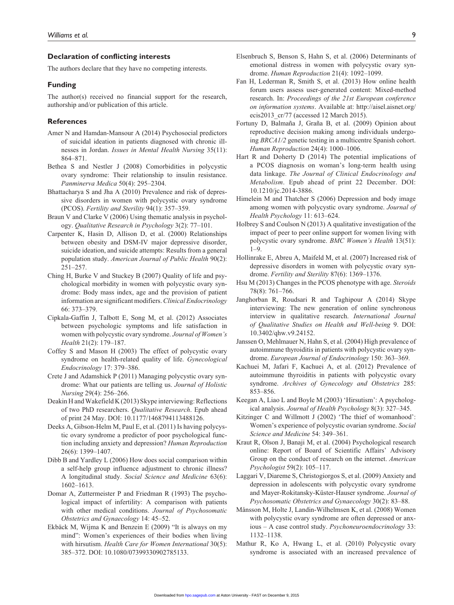#### **Declaration of conflicting interests**

The authors declare that they have no competing interests.

#### **Funding**

The author(s) received no financial support for the research, authorship and/or publication of this article.

#### **References**

- Amer N and Hamdan-Mansour A (2014) Psychosocial predictors of suicidal ideation in patients diagnosed with chronic illnesses in Jordan. *Issues in Mental Health Nursing* 35(11): 864–871.
- Bethea S and Nestler J (2008) Comorbidities in polycystic ovary syndrome: Their relationship to insulin resistance. *Panminerva Medica* 50(4): 295–2304.
- Bhattacharya S and Jha A (2010) Prevalence and risk of depressive disorders in women with polycystic ovary syndrome (PCOS). *Fertility and Sterility* 94(1): 357–359.
- Braun V and Clarke V (2006) Using thematic analysis in psychology. *Qualitative Research in Psychology* 3(2): 77–101.
- Carpenter K, Hasin D, Allison D, et al. (2000) Relationships between obesity and DSM-IV major depressive disorder, suicide ideation, and suicide attempts: Results from a general population study. *American Journal of Public Health* 90(2): 251–257.
- Ching H, Burke V and Stuckey B (2007) Quality of life and psychological morbidity in women with polycystic ovary syndrome: Body mass index, age and the provision of patient information are significant modifiers. *Clinical Endocrinology* 66: 373–379.
- Cipkala-Gaffin J, Talbott E, Song M, et al. (2012) Associates between psychologic symptoms and life satisfaction in women with polycystic ovary syndrome. *Journal of Women's Health* 21(2): 179–187.
- Coffey S and Mason H (2003) The effect of polycystic ovary syndrome on health-related quality of life. *Gynecological Endocrinology* 17: 379–386.
- Crete J and Adamshick P (2011) Managing polycystic ovary syndrome: What our patients are telling us. *Journal of Holistic Nursing* 29(4): 256–266.
- Deakin H and Wakefield K (2013) Skype interviewing: Reflections of two PhD researchers. *Qualitative Research*. Epub ahead of print 24 May. DOI: 10.1177/1468794113488126.
- Deeks A, Gibson-Helm M, Paul E, et al. (2011) Is having polycystic ovary syndrome a predictor of poor psychological function including anxiety and depression? *Human Reproduction* 26(6): 1399–1407.
- Dibb B and Yardley L (2006) How does social comparison within a self-help group influence adjustment to chronic illness? A longitudinal study. *Social Science and Medicine* 63(6): 1602–1613.
- Domar A, Zuttermeister P and Friedman R (1993) The psychological impact of infertility: A comparison with patients with other medical conditions. *Journal of Psychosomatic Obstetrics and Gynaecology* 14: 45–52.
- Ekbäck M, Wijma K and Benzein E (2009) "It is always on my mind": Women's experiences of their bodies when living with hirsutism. *Health Care for Women International* 30(5): 385–372. DOI: 10.1080/07399330902785133.
- Elsenbruch S, Benson S, Hahn S, et al. (2006) Determinants of emotional distress in women with polycystic ovary syndrome. *Human Reproduction* 21(4): 1092–1099.
- Fan H, Lederman R, Smith S, et al. (2013) How online health forum users assess user-generated content: Mixed-method research. In: *Proceedings of the 21st European conference on information systems*. Available at: [http://aisel.aisnet.org/](http://aisel.aisnet.org/ecis2013_cr/77) ecis2013 cr/77 (accessed 12 March 2015).
- Fortuny D, Balmaña J, Graña B, et al. (2009) Opinion about reproductive decision making among individuals undergoing *BRCA1/2* genetic testing in a multicentre Spanish cohort. *Human Reproduction* 24(4): 1000–1006.
- Hart R and Doherty D (2014) The potential implications of a PCOS diagnosis on woman's long-term health using data linkage. *The Journal of Clinical Endocrinology and Metabolism*. Epub ahead of print 22 December. DOI: 10.1210/jc.2014-3886.
- Himelein M and Thatcher S (2006) Depression and body image among women with polycystic ovary syndrome. *Journal of Health Psychology* 11: 613–624.
- Holbrey S and Coulson N (2013) A qualitative investigation of the impact of peer to peer online support for women living with polycystic ovary syndrome. *BMC Women's Health* 13(51): 1–9.
- Hollinrake E, Abreu A, Maifeld M, et al. (2007) Increased risk of depressive disorders in women with polycystic ovary syndrome. *Fertility and Sterility* 87(6): 1369–1376.
- Hsu M (2013) Changes in the PCOS phenotype with age. *Steroids* 78(8): 761–766.
- Janghorban R, Roudsari R and Taghipour A (2014) Skype interviewing: The new generation of online synchronous interview in qualitative research. *International Journal of Qualitative Studies on Health and Well-being* 9. DOI: 10.3402/qhw.v9.24152.
- Janssen O, Mehlmauer N, Hahn S, et al. (2004) High prevalence of autoimmune thyroiditis in patients with polycystic ovary syndrome. *European Journal of Endocrinology* 150: 363–369.
- Kachuei M, Jafari F, Kachuei A, et al. (2012) Prevalence of autoimmune thyroiditis in patients with polycystic ovary syndrome. *Archives of Gynecology and Obstetrics* 285: 853–856.
- Keegan A, Liao L and Boyle M (2003) 'Hirsutism': A psychological analysis. *Journal of Health Psychology* 8(3): 327–345.
- Kitzinger C and Willmott J (2002) 'The thief of womanhood': Women's experience of polycystic ovarian syndrome. *Social Science and Medicine* 54: 349–361.
- Kraut R, Olson J, Banaji M, et al. (2004) Psychological research online: Report of Board of Scientific Affairs' Advisory Group on the conduct of research on the internet. *American Psychologist* 59(2): 105–117.
- Laggari V, Diareme S, Christogiorgos S, et al. (2009) Anxiety and depression in adolescents with polycystic ovary syndrome and Mayer-Rokitansky-Küster-Hauser syndrome. *Journal of Psychosomatic Obstetrics and Gynaecology* 30(2): 83–88.
- Månsson M, Holte J, Landin-Wilhelmsen K, et al. (2008) Women with polycystic ovary syndrome are often depressed or anxious – A case control study. *Psychoneuroendocrinology* 33: 1132–1138.
- Mathur R, Ko A, Hwang L, et al. (2010) Polycystic ovary syndrome is associated with an increased prevalence of